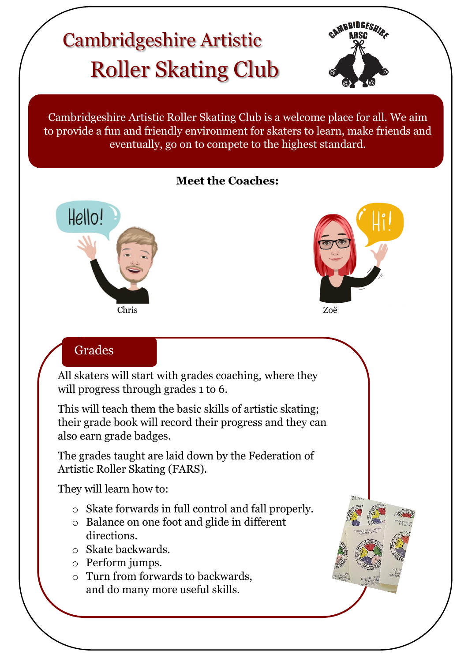# Roller Skating Club Cambridgeshire Artistic



Cambridgeshire Artistic Roller Skating Club is a welcome place for all. We aim to provide a fun and friendly environment for skaters to learn, make friends and eventually, go on to compete to the highest standard.

#### **Meet the Coaches:**



 $\sqrt{2}$ 



# **Grades**

All skaters will start with grades coaching, where they will progress through grades 1 to 6.

This will teach them the basic skills of artistic skating; their grade book will record their progress and they can also earn grade badges.

The grades taught are laid down by the Federation of Artistic Roller Skating (FARS).

They will learn how to:

- o Skate forwards in full control and fall properly.
- o Balance on one foot and glide in different directions.
- o Skate backwards.
- o Perform jumps.
- o Turn from forwards to backwards, and do many more useful skills.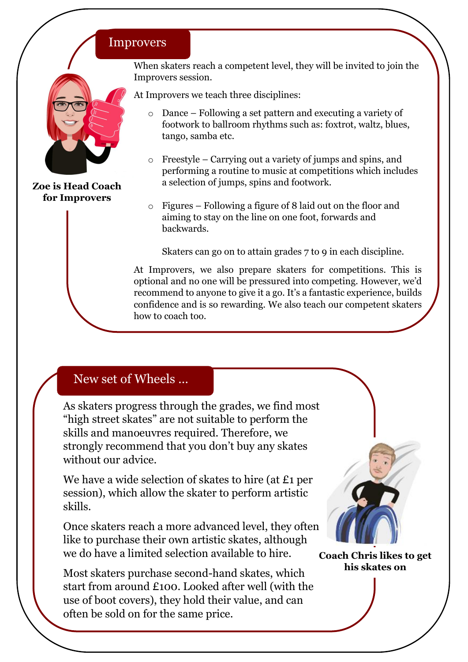#### **Improvers**



**Zoe is Head Coach for Improvers**

When skaters reach a competent level, they will be invited to join the Improvers session.

At Improvers we teach three disciplines:

- o Dance Following a set pattern and executing a variety of footwork to ballroom rhythms such as: foxtrot, waltz, blues, tango, samba etc.
- o Freestyle Carrying out a variety of jumps and spins, and performing a routine to music at competitions which includes a selection of jumps, spins and footwork.
- o Figures Following a figure of 8 laid out on the floor and aiming to stay on the line on one foot, forwards and backwards.

Skaters can go on to attain grades 7 to 9 in each discipline.

At Improvers, we also prepare skaters for competitions. This is optional and no one will be pressured into competing. However, we'd recommend to anyone to give it a go. It's a fantastic experience, builds confidence and is so rewarding. We also teach our competent skaters how to coach too.

## New set of Wheels …

As skaters progress through the grades, we find most "high street skates" are not suitable to perform the skills and manoeuvres required. Therefore, we strongly recommend that you don't buy any skates without our advice.

We have a wide selection of skates to hire (at £1 per session), which allow the skater to perform artistic skills.

Once skaters reach a more advanced level, they often like to purchase their own artistic skates, although we do have a limited selection available to hire.

Most skaters purchase second-hand skates, which start from around £100. Looked after well (with the use of boot covers), they hold their value, and can often be sold on for the same price.



**Coach Chris likes to get his skates on**